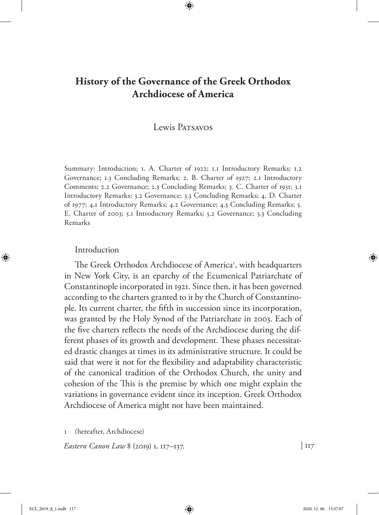# **History of the Governance of the Greek Orthodox Archdiocese of America**

## Lewis Patsavos

Summary: Introduction; 1. A. Charter of 1922; 1.1 Introductory Remarks; 1.2 Governance; 1.3 Concluding Remarks; 2. B. Charter of 1927; 2.1 Introductory Comments; 2.2 Governance; 2.3 Concluding Remarks; 3. C. Charter of 1931; 3.1 Introductory Remarks; 3.2 Governance; 3.3 Concluding Remarks; 4. D. Charter of 1977; 4.1 Introductory Remarks; 4.2 Governance; 4.3 Concluding Remarks; 5. E. Charter of 2003; 5.1 Introductory Remarks; 5.2 Governance; 5.3 Concluding Remarks

#### Introduction

The Greek Orthodox Archdiocese of America<sup>1</sup>, with headquarters in New York City, is an eparchy of the Ecumenical Patriarchate of Constantinople incorporated in 1921. Since then, it has been governed according to the charters granted to it by the Church of Constantinople. Its current charter, the fifth in succession since its incorporation, was granted by the Holy Synod of the Patriarchate in 2003. Each of the five charters reflects the needs of the Archdiocese during the different phases of its growth and development. These phases necessitated drastic changes at times in its administrative structure. It could be said that were it not for the flexibility and adaptability characteristic of the canonical tradition of the Orthodox Church, the unity and cohesion of the This is the premise by which one might explain the variations in governance evident since its inception. Greek Orthodox Archdiocese of America might not have been maintained.

1 (hereafter, Archdiocese)

*Eastern Canon Law* 8 (2019) 1, 117–137. | 117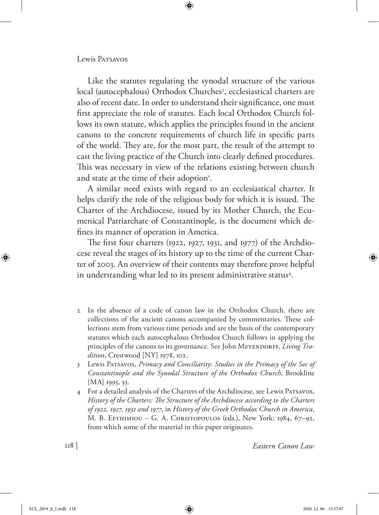#### Lewis PATSAVOS

Like the statutes regulating the synodal structure of the various local (autocephalous) Orthodox Churches<sup>2</sup>, ecclesiastical charters are also of recent date. In order to understand their significance, one must first appreciate the role of statutes. Each local Orthodox Church follows its own statute, which applies the principles found in the ancient canons to the concrete requirements of church life in specific parts of the world. They are, for the most part, the result of the attempt to cast the living practice of the Church into clearly defined procedures. This was necessary in view of the relations existing between church and state at the time of their adoption<sup>3</sup>.

A similar need exists with regard to an ecclesiastical charter. It helps clarify the role of the religious body for which it is issued. The Charter of the Archdiocese, issued by its Mother Church, the Ecumenical Patriarchate of Constantinople, is the document which defines its manner of operation in America.

The first four charters (1922, 1927, 1931, and 1977) of the Archdiocese reveal the stages of its history up to the time of the current Charter of 2003. An overview of their contents may therefore prove helpful in understanding what led to its present administrative status<sup>4</sup>.

- 2 In the absence of a code of canon law in the Orthodox Church, there are collections of the ancient canons accompanied by commentaries. These collections stem from various time periods and are the basis of the contemporary statutes which each autocephalous Orthodox Church follows in applying the principles of the canons to its governance. See John MEYENDORFF, *Living Tradition*, Crestwood [NY] 1978, 102.
- 3 Lewis Patsavos, *Primacy and Conciliarity*: *Studies in the Primacy of the See of Constantinople and the Synodal Structure of the Orthodox Church*, Brookline [MA] 1995, 33.
- 4 For a detailed analysis of the Charters of the Archdiocese, see Lewis Patsavos, *History of the Charters: The Structure of the Archdiocese according to the Charters of 1922, 1927, 1931 and 1977*, in *History of the Greek Orthodox Church in America*, M. B. Efthimiou – G. A. Christopoulos (eds.), New York: 1984, 67–92, from which some of the material in this paper originates.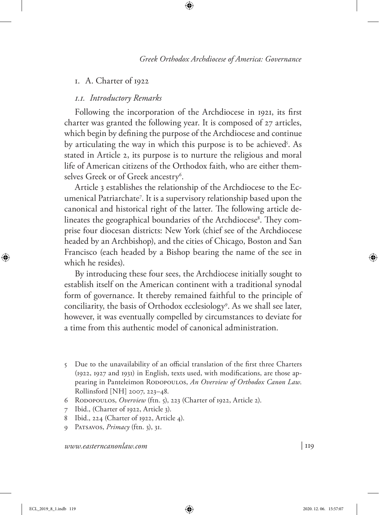### 1. A. Charter of 1922

#### *1.1. Introductory Remarks*

Following the incorporation of the Archdiocese in 1921, its first charter was granted the following year. It is composed of 27 articles, which begin by defining the purpose of the Archdiocese and continue by articulating the way in which this purpose is to be achieved<sup>5</sup>. As stated in Article 2, its purpose is to nurture the religious and moral life of American citizens of the Orthodox faith, who are either themselves Greek or of Greek ancestry<sup>6</sup>.

Article 3 establishes the relationship of the Archdiocese to the Ecumenical Patriarchate7 . It is a supervisory relationship based upon the canonical and historical right of the latter. The following article delineates the geographical boundaries of the Archdiocese<sup>8</sup>. They comprise four diocesan districts: New York (chief see of the Archdiocese headed by an Archbishop), and the cities of Chicago, Boston and San Francisco (each headed by a Bishop bearing the name of the see in which he resides).

By introducing these four sees, the Archdiocese initially sought to establish itself on the American continent with a traditional synodal form of governance. It thereby remained faithful to the principle of conciliarity, the basis of Orthodox ecclesiology9 . As we shall see later, however, it was eventually compelled by circumstances to deviate for a time from this authentic model of canonical administration.

- 5 Due to the unavailability of an official translation of the first three Charters (1922, 1927 and 1931) in English, texts used, with modifications, are those appearing in Panteleimon RODOPOULOS, An Overview of Orthodox Canon Law. Rollinsford [NH] 2007, 223–48.
- 6 Rodopoulos, *Overview* (ftn. 5), 223 (Charter of 1922, Article 2).
- 7 Ibid., (Charter of 1922, Article 3).
- 8 Ibid., 224 (Charter of 1922, Article 4).
- 9 Patsavos, *Primacy* (ftn. 3), 31.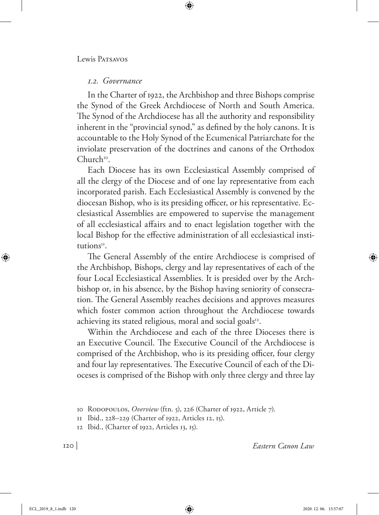### *1.2. Governance*

In the Charter of 1922, the Archbishop and three Bishops comprise the Synod of the Greek Archdiocese of North and South America. The Synod of the Archdiocese has all the authority and responsibility inherent in the "provincial synod," as defined by the holy canons. It is accountable to the Holy Synod of the Ecumenical Patriarchate for the inviolate preservation of the doctrines and canons of the Orthodox  $Church<sup>10</sup>$ .

Each Diocese has its own Ecclesiastical Assembly comprised of all the clergy of the Diocese and of one lay representative from each incorporated parish. Each Ecclesiastical Assembly is convened by the diocesan Bishop, who is its presiding officer, or his representative. Ecclesiastical Assemblies are empowered to supervise the management of all ecclesiastical affairs and to enact legislation together with the local Bishop for the effective administration of all ecclesiastical institution $s<sup>H</sup>$ .

The General Assembly of the entire Archdiocese is comprised of the Archbishop, Bishops, clergy and lay representatives of each of the four Local Ecclesiastical Assemblies. It is presided over by the Archbishop or, in his absence, by the Bishop having seniority of consecration. The General Assembly reaches decisions and approves measures which foster common action throughout the Archdiocese towards achieving its stated religious, moral and social goals<sup>12</sup>.

Within the Archdiocese and each of the three Dioceses there is an Executive Council. The Executive Council of the Archdiocese is comprised of the Archbishop, who is its presiding officer, four clergy and four lay representatives. The Executive Council of each of the Dioceses is comprised of the Bishop with only three clergy and three lay

<sup>10</sup> Rodopoulos, *Overview* (ftn. 5), 226 (Charter of 1922, Article 7).

<sup>11</sup> Ibid., 228–229 (Charter of 1922, Articles 12, 15).

<sup>12</sup> Ibid., (Charter of 1922, Articles 13, 15).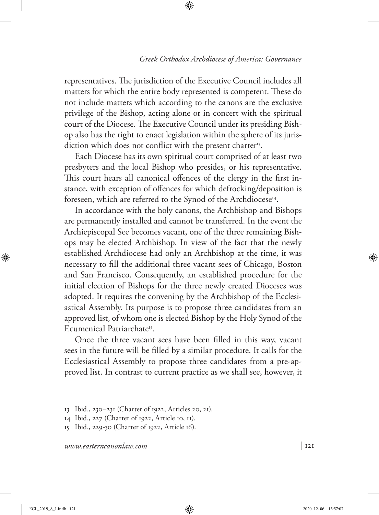representatives. The jurisdiction of the Executive Council includes all matters for which the entire body represented is competent. These do not include matters which according to the canons are the exclusive privilege of the Bishop, acting alone or in concert with the spiritual court of the Diocese. The Executive Council under its presiding Bishop also has the right to enact legislation within the sphere of its jurisdiction which does not conflict with the present charter<sup>13</sup>.

Each Diocese has its own spiritual court comprised of at least two presbyters and the local Bishop who presides, or his representative. This court hears all canonical offences of the clergy in the first instance, with exception of offences for which defrocking/deposition is foreseen, which are referred to the Synod of the Archdiocese<sup>14</sup>.

In accordance with the holy canons, the Archbishop and Bishops are permanently installed and cannot be transferred. In the event the Archiepiscopal See becomes vacant, one of the three remaining Bishops may be elected Archbishop. In view of the fact that the newly established Archdiocese had only an Archbishop at the time, it was necessary to fill the additional three vacant sees of Chicago, Boston and San Francisco. Consequently, an established procedure for the initial election of Bishops for the three newly created Dioceses was adopted. It requires the convening by the Archbishop of the Ecclesiastical Assembly. Its purpose is to propose three candidates from an approved list, of whom one is elected Bishop by the Holy Synod of the Ecumenical Patriarchate<sup>15</sup>.

Once the three vacant sees have been filled in this way, vacant sees in the future will be filled by a similar procedure. It calls for the Ecclesiastical Assembly to propose three candidates from a pre-approved list. In contrast to current practice as we shall see, however, it

<sup>13</sup> Ibid., 230–231 (Charter of 1922, Articles 20, 21).

<sup>14</sup> Ibid., 227 (Charter of 1922, Article 10, 11).

<sup>15</sup> Ibid., 229-30 (Charter of 1922, Article 16).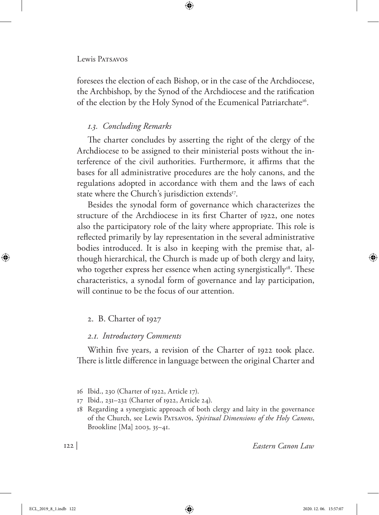#### Lewis Patsavos

foresees the election of each Bishop, or in the case of the Archdiocese, the Archbishop, by the Synod of the Archdiocese and the ratification of the election by the Holy Synod of the Ecumenical Patriarchate<sup>16</sup>.

## *1.3. Concluding Remarks*

The charter concludes by asserting the right of the clergy of the Archdiocese to be assigned to their ministerial posts without the interference of the civil authorities. Furthermore, it affirms that the bases for all administrative procedures are the holy canons, and the regulations adopted in accordance with them and the laws of each state where the Church's jurisdiction extends<sup>17</sup>.

Besides the synodal form of governance which characterizes the structure of the Archdiocese in its first Charter of 1922, one notes also the participatory role of the laity where appropriate. This role is reflected primarily by lay representation in the several administrative bodies introduced. It is also in keeping with the premise that, although hierarchical, the Church is made up of both clergy and laity, who together express her essence when acting synergistically<sup>18</sup>. These characteristics, a synodal form of governance and lay participation, will continue to be the focus of our attention.

## 2. B. Charter of 1927

### *2.1. Introductory Comments*

Within five years, a revision of the Charter of 1922 took place. There is little difference in language between the original Charter and

<sup>16</sup> Ibid., 230 (Charter of 1922, Article 17).

<sup>17</sup> Ibid., 231–232 (Charter of 1922, Article 24).

<sup>18</sup> Regarding a synergistic approach of both clergy and laity in the governance of the Church, see Lewis Patsavos, *Spiritual Dimensions of the Holy Canons*, Brookline [Ma] 2003, 35–41.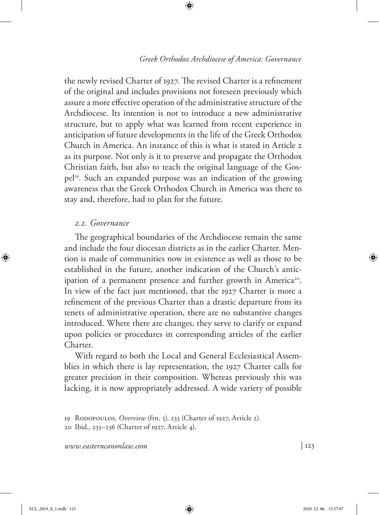the newly revised Charter of 1927. The revised Charter is a refinement of the original and includes provisions not foreseen previously which assure a more effective operation of the administrative structure of the Archdiocese. Its intention is not to introduce a new administrative structure, but to apply what was learned from recent experience in anticipation of future developments in the life of the Greek Orthodox Church in America. An instance of this is what is stated in Article 2 as its purpose. Not only is it to preserve and propagate the Orthodox Christian faith, but also to teach the original language of the Gospel19. Such an expanded purpose was an indication of the growing awareness that the Greek Orthodox Church in America was there to stay and, therefore, had to plan for the future.

#### *2.2. Governance*

The geographical boundaries of the Archdiocese remain the same and include the four diocesan districts as in the earlier Charter. Mention is made of communities now in existence as well as those to be established in the future, another indication of the Church's anticipation of a permanent presence and further growth in America<sup>20</sup>. In view of the fact just mentioned, that the 1927 Charter is more a refinement of the previous Charter than a drastic departure from its tenets of administrative operation, there are no substantive changes introduced. Where there are changes, they serve to clarify or expand upon policies or procedures in corresponding articles of the earlier Charter.

With regard to both the Local and General Ecclesiastical Assemblies in which there is lay representation, the 1927 Charter calls for greater precision in their composition. Whereas previously this was lacking, it is now appropriately addressed. A wide variety of possible

<sup>19</sup> Rodopoulos, *Overview* (ftn. 5), 233 (Charter of 1927, Article 2).

<sup>20</sup> Ibid., 233–236 (Charter of 1927, Article 4).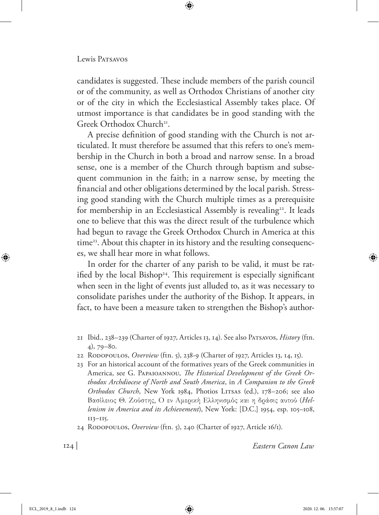candidates is suggested. These include members of the parish council or of the community, as well as Orthodox Christians of another city or of the city in which the Ecclesiastical Assembly takes place. Of utmost importance is that candidates be in good standing with the Greek Orthodox Church<sup>21</sup>.

A precise definition of good standing with the Church is not articulated. It must therefore be assumed that this refers to one's membership in the Church in both a broad and narrow sense. In a broad sense, one is a member of the Church through baptism and subsequent communion in the faith; in a narrow sense, by meeting the financial and other obligations determined by the local parish. Stressing good standing with the Church multiple times as a prerequisite for membership in an Ecclesiastical Assembly is revealing<sup>22</sup>. It leads one to believe that this was the direct result of the turbulence which had begun to ravage the Greek Orthodox Church in America at this time<sup>23</sup>. About this chapter in its history and the resulting consequences, we shall hear more in what follows.

In order for the charter of any parish to be valid, it must be ratified by the local Bishop<sup>24</sup>. This requirement is especially significant when seen in the light of events just alluded to, as it was necessary to consolidate parishes under the authority of the Bishop. It appears, in fact, to have been a measure taken to strengthen the Bishop's author-

- 21 Ibid., 238–239 (Charter of 1927, Articles 13, 14). See also Patsavos, *History* (ftn. 4), 79–80.
- 22 Rodopoulos, *Overview* (ftn. 5), 238-9 (Charter of 1927, Articles 13, 14, 15).
- 23 For an historical account of the formatives years of the Greek communities in America, see G. Papaioannou, *The Historical Development of the Greek Orthodox Archdiocese of North and South America*, in *A Companion to the Greek Orthodox Church*, New York 1984, Photios Litsas (ed.), 178–206; see also Βασίλειος Θ. Ζούστης, Ο εν Αμερική Ελληνισμός και η δράσις αυτού (*Hellenism in America and its Achievement*), New York: [D.C.] 1954, esp. 105–108, 113–115.
- 24 Rodopoulos, *Overview* (ftn. 5), 240 (Charter of 1927, Article 16/1).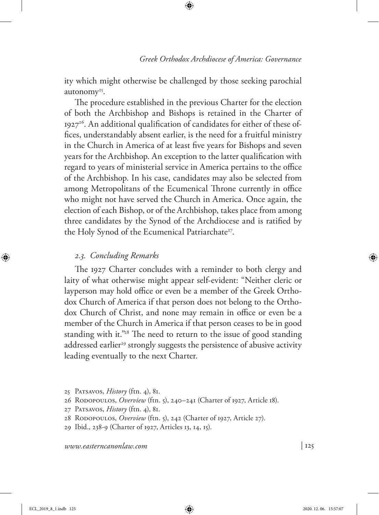ity which might otherwise be challenged by those seeking parochial autonomy<sup>25</sup>.

The procedure established in the previous Charter for the election of both the Archbishop and Bishops is retained in the Charter of 192726. An additional qualification of candidates for either of these offices, understandably absent earlier, is the need for a fruitful ministry in the Church in America of at least five years for Bishops and seven years for the Archbishop. An exception to the latter qualification with regard to years of ministerial service in America pertains to the office of the Archbishop. In his case, candidates may also be selected from among Metropolitans of the Ecumenical Throne currently in office who might not have served the Church in America. Once again, the election of each Bishop, or of the Archbishop, takes place from among three candidates by the Synod of the Archdiocese and is ratified by the Holy Synod of the Ecumenical Patriarchate<sup>27</sup>.

#### *2.3. Concluding Remarks*

The 1927 Charter concludes with a reminder to both clergy and laity of what otherwise might appear self-evident: "Neither cleric or layperson may hold office or even be a member of the Greek Orthodox Church of America if that person does not belong to the Orthodox Church of Christ, and none may remain in office or even be a member of the Church in America if that person ceases to be in good standing with it."<sup>28</sup> The need to return to the issue of good standing addressed earlier<sup>29</sup> strongly suggests the persistence of abusive activity leading eventually to the next Charter.

- 25 Patsavos, *History* (ftn. 4), 81.
- 26 Rodopoulos, *Overview* (ftn. 5), 240–241 (Charter of 1927, Article 18).
- 27 Patsavos, *History* (ftn. 4), 81.
- 28 Rodopoulos, *Overview* (ftn. 5), 242 (Charter of 1927, Article 27).
- 29 Ibid., 238-9 (Charter of 1927, Articles 13, 14, 15).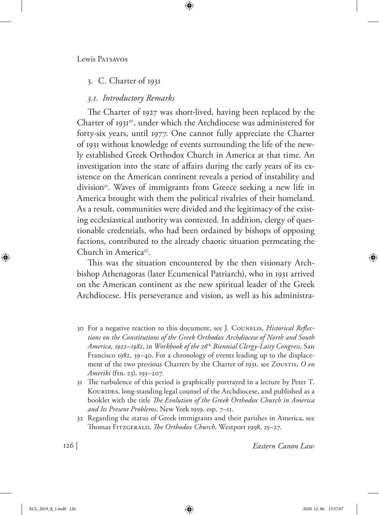## 3. C. Charter of 1931

### *3.1. Introductory Remarks*

The Charter of 1927 was short-lived, having been replaced by the Charter of 1931<sup>30</sup>, under which the Archdiocese was administered for forty-six years, until 1977. One cannot fully appreciate the Charter of 1931 without knowledge of events surrounding the life of the newly established Greek Orthodox Church in America at that time. An investigation into the state of affairs during the early years of its existence on the American continent reveals a period of instability and division<sup>31</sup>. Waves of immigrants from Greece seeking a new life in America brought with them the political rivalries of their homeland. As a result, communities were divided and the legitimacy of the existing ecclesiastical authority was contested. In addition, clergy of questionable credentials, who had been ordained by bishops of opposing factions, contributed to the already chaotic situation permeating the Church in America<sup>32</sup>.

This was the situation encountered by the then visionary Archbishop Athenagoras (later Ecumenical Patriarch), who in 1931 arrived on the American continent as the new spiritual leader of the Greek Archdiocese. His perseverance and vision, as well as his administra-

- 30 For a negative reaction to this document, see J. Counelis, *Historical Reflections on the Constitutions of the Greek Orthodox Archdiocese of North and South America, 1922–1982*, in *Workbook of the 26*th *Biennial Clergy-Laity Congress,* San Francisco 1982, 39–40. For a chronology of events leading up to the displacement of the two previous Charters by the Charter of 1931, see Zoustis, *O en Ameriki* (ftn. 23), 193–207.
- 31 The turbulence of this period is graphically portrayed in a lecture by Peter T. KOURIDES, long-standing legal counsel of the Archdiocese, and published as a booklet with the title *The Evolution of the Greek Orthodox Church in America and Its Present Problems*, New York 1959, esp. 7–11.
- 32 Regarding the status of Greek immigrants and their parishes in America, see Thomas Fitzgerald, *The Orthodox Church*, Westport 1998, 25–27.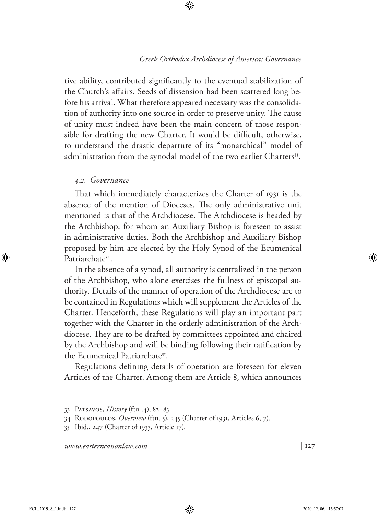tive ability, contributed significantly to the eventual stabilization of the Church's affairs. Seeds of dissension had been scattered long before his arrival. What therefore appeared necessary was the consolidation of authority into one source in order to preserve unity. The cause of unity must indeed have been the main concern of those responsible for drafting the new Charter. It would be difficult, otherwise, to understand the drastic departure of its "monarchical" model of administration from the synodal model of the two earlier Charters<sup>33</sup>.

#### *3.2. Governance*

That which immediately characterizes the Charter of 1931 is the absence of the mention of Dioceses. The only administrative unit mentioned is that of the Archdiocese. The Archdiocese is headed by the Archbishop, for whom an Auxiliary Bishop is foreseen to assist in administrative duties. Both the Archbishop and Auxiliary Bishop proposed by him are elected by the Holy Synod of the Ecumenical Patriarchate34.

In the absence of a synod, all authority is centralized in the person of the Archbishop, who alone exercises the fullness of episcopal authority. Details of the manner of operation of the Archdiocese are to be contained in Regulations which will supplement the Articles of the Charter. Henceforth, these Regulations will play an important part together with the Charter in the orderly administration of the Archdiocese. They are to be drafted by committees appointed and chaired by the Archbishop and will be binding following their ratification by the Ecumenical Patriarchate<sup>35</sup>.

Regulations defining details of operation are foreseen for eleven Articles of the Charter. Among them are Article 8, which announces

<sup>33</sup> Patsavos, *History* (ftn .4), 82–83.

<sup>34</sup> Rodopoulos, *Overview* (ftn. 5), 245 (Charter of 1931, Articles 6, 7).

<sup>35</sup> Ibid., 247 (Charter of 1933, Article 17).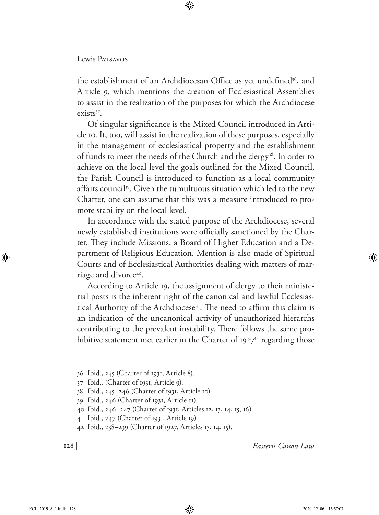the establishment of an Archdiocesan Office as yet undefined<sup>36</sup>, and Article 9, which mentions the creation of Ecclesiastical Assemblies to assist in the realization of the purposes for which the Archdiocese exists37.

Of singular significance is the Mixed Council introduced in Article 10. It, too, will assist in the realization of these purposes, especially in the management of ecclesiastical property and the establishment of funds to meet the needs of the Church and the clergy<sup>38</sup>. In order to achieve on the local level the goals outlined for the Mixed Council, the Parish Council is introduced to function as a local community affairs council<sup>39</sup>. Given the tumultuous situation which led to the new Charter, one can assume that this was a measure introduced to promote stability on the local level.

In accordance with the stated purpose of the Archdiocese, several newly established institutions were officially sanctioned by the Charter. They include Missions, a Board of Higher Education and a Department of Religious Education. Mention is also made of Spiritual Courts and of Ecclesiastical Authorities dealing with matters of marriage and divorce<sup>40</sup>.

According to Article 19, the assignment of clergy to their ministerial posts is the inherent right of the canonical and lawful Ecclesiastical Authority of the Archdiocese<sup>41</sup>. The need to affirm this claim is an indication of the uncanonical activity of unauthorized hierarchs contributing to the prevalent instability. There follows the same prohibitive statement met earlier in the Charter of  $1927<sup>42</sup>$  regarding those

36 Ibid., 245 (Charter of 1931, Article 8).

- 37 Ibid., (Charter of 1931, Article 9).
- 38 Ibid., 245–246 (Charter of 1931, Article 10).
- 39 Ibid., 246 (Charter of 1931, Article 11).
- 40 Ibid., 246–247 (Charter of 1931, Articles 12, 13, 14, 15, 16).
- 41 Ibid., 247 (Charter of 1931, Article 19).
- 42 Ibid., 238–239 (Charter of 1927, Articles 13, 14, 15).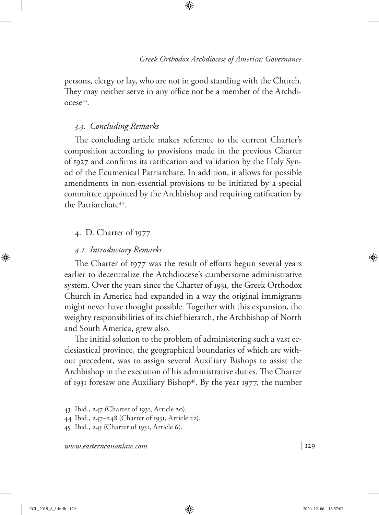persons, clergy or lay, who are not in good standing with the Church. They may neither serve in any office nor be a member of the Archdiocese43.

## *3.3. Concluding Remarks*

The concluding article makes reference to the current Charter's composition according to provisions made in the previous Charter of 1927 and confirms its ratification and validation by the Holy Synod of the Ecumenical Patriarchate. In addition, it allows for possible amendments in non-essential provisions to be initiated by a special committee appointed by the Archbishop and requiring ratification by the Patriarchate44.

## 4. D. Charter of 1977

## *4.1. Introductory Remarks*

The Charter of 1977 was the result of efforts begun several years earlier to decentralize the Archdiocese's cumbersome administrative system. Over the years since the Charter of 1931, the Greek Orthodox Church in America had expanded in a way the original immigrants might never have thought possible. Together with this expansion, the weighty responsibilities of its chief hierarch, the Archbishop of North and South America, grew also.

The initial solution to the problem of administering such a vast ecclesiastical province, the geographical boundaries of which are without precedent, was to assign several Auxiliary Bishops to assist the Archbishop in the execution of his administrative duties. The Charter of 1931 foresaw one Auxiliary Bishop<sup>45</sup>. By the year 1977, the number

<sup>43</sup> Ibid., 247 (Charter of 1931, Article 20).

<sup>44</sup> Ibid., 247–248 (Charter of 1931, Article 22).

<sup>45</sup> Ibid., 245 (Charter of 1931, Article 6).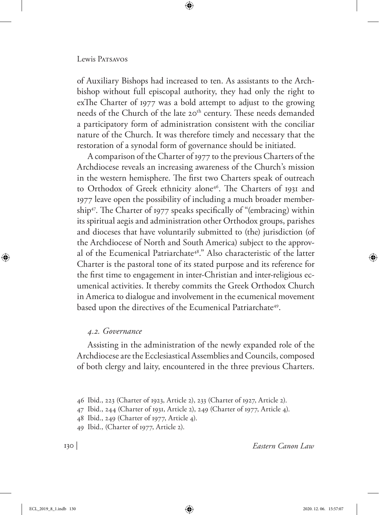#### Lewis Patsavos

of Auxiliary Bishops had increased to ten. As assistants to the Archbishop without full episcopal authority, they had only the right to exThe Charter of 1977 was a bold attempt to adjust to the growing needs of the Church of the late 20<sup>th</sup> century. These needs demanded a participatory form of administration consistent with the conciliar nature of the Church. It was therefore timely and necessary that the restoration of a synodal form of governance should be initiated.

A comparison of the Charter of 1977 to the previous Charters of the Archdiocese reveals an increasing awareness of the Church's mission in the western hemisphere. The first two Charters speak of outreach to Orthodox of Greek ethnicity alone<sup>46</sup>. The Charters of 1931 and 1977 leave open the possibility of including a much broader membership47. The Charter of 1977 speaks specifically of "(embracing) within its spiritual aegis and administration other Orthodox groups, parishes and dioceses that have voluntarily submitted to (the) jurisdiction (of the Archdiocese of North and South America) subject to the approval of the Ecumenical Patriarchate48." Also characteristic of the latter Charter is the pastoral tone of its stated purpose and its reference for the first time to engagement in inter-Christian and inter-religious ecumenical activities. It thereby commits the Greek Orthodox Church in America to dialogue and involvement in the ecumenical movement based upon the directives of the Ecumenical Patriarchate<sup>49</sup>.

#### *4.2. Governance*

Assisting in the administration of the newly expanded role of the Archdiocese are the Ecclesiastical Assemblies and Councils, composed of both clergy and laity, encountered in the three previous Charters.

<sup>46</sup> Ibid., 223 (Charter of 1923, Article 2), 233 (Charter of 1927, Article 2).

<sup>47</sup> Ibid., 244 (Charter of 1931, Article 2), 249 (Charter of 1977, Article 4).

<sup>48</sup> Ibid., 249 (Charter of 1977, Article 4).

<sup>49</sup> Ibid., (Charter of 1977, Article 2).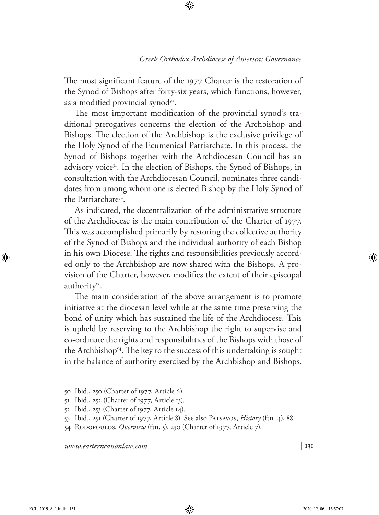The most significant feature of the 1977 Charter is the restoration of the Synod of Bishops after forty-six years, which functions, however, as a modified provincial synod<sup>50</sup>.

The most important modification of the provincial synod's traditional prerogatives concerns the election of the Archbishop and Bishops. The election of the Archbishop is the exclusive privilege of the Holy Synod of the Ecumenical Patriarchate. In this process, the Synod of Bishops together with the Archdiocesan Council has an advisory voice<sup>51</sup>. In the election of Bishops, the Synod of Bishops, in consultation with the Archdiocesan Council, nominates three candidates from among whom one is elected Bishop by the Holy Synod of the Patriarchate52.

As indicated, the decentralization of the administrative structure of the Archdiocese is the main contribution of the Charter of 1977. This was accomplished primarily by restoring the collective authority of the Synod of Bishops and the individual authority of each Bishop in his own Diocese. The rights and responsibilities previously accorded only to the Archbishop are now shared with the Bishops. A provision of the Charter, however, modifies the extent of their episcopal authority<sup>53</sup>.

The main consideration of the above arrangement is to promote initiative at the diocesan level while at the same time preserving the bond of unity which has sustained the life of the Archdiocese. This is upheld by reserving to the Archbishop the right to supervise and co-ordinate the rights and responsibilities of the Bishops with those of the Archbishop<sup>54</sup>. The key to the success of this undertaking is sought in the balance of authority exercised by the Archbishop and Bishops.

- 50 Ibid., 250 (Charter of 1977, Article 6).
- 51 Ibid., 252 (Charter of 1977, Article 13).
- 52 Ibid., 253 (Charter of 1977, Article 14).
- 53 Ibid., 251 (Charter of 1977, Article 8). See also Patsavos, *History* (ftn .4), 88.
- 54 Rodopoulos, *Overview* (ftn. 5), 250 (Charter of 1977, Article 7).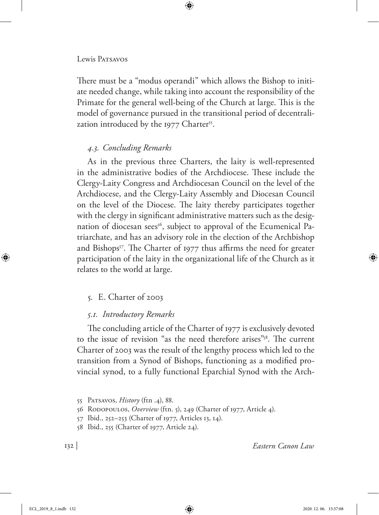#### Lewis PATSAVOS

There must be a "modus operandi" which allows the Bishop to initiate needed change, while taking into account the responsibility of the Primate for the general well-being of the Church at large. This is the model of governance pursued in the transitional period of decentralization introduced by the 1977 Charter<sup>55</sup>.

## *4.3. Concluding Remarks*

As in the previous three Charters, the laity is well-represented in the administrative bodies of the Archdiocese. These include the Clergy-Laity Congress and Archdiocesan Council on the level of the Archdiocese, and the Clergy-Laity Assembly and Diocesan Council on the level of the Diocese. The laity thereby participates together with the clergy in significant administrative matters such as the designation of diocesan sees<sup>56</sup>, subject to approval of the Ecumenical Patriarchate, and has an advisory role in the election of the Archbishop and Bishops<sup>57</sup>. The Charter of 1977 thus affirms the need for greater participation of the laity in the organizational life of the Church as it relates to the world at large.

### 5. E. Charter of 2003

### *5.1. Introductory Remarks*

The concluding article of the Charter of 1977 is exclusively devoted to the issue of revision "as the need therefore arises"58. The current Charter of 2003 was the result of the lengthy process which led to the transition from a Synod of Bishops, functioning as a modified provincial synod, to a fully functional Eparchial Synod with the Arch-

<sup>55</sup> Patsavos, *History* (ftn .4), 88.

<sup>56</sup> Rodopoulos, *Overview* (ftn. 5), 249 (Charter of 1977, Article 4).

<sup>57</sup> Ibid., 252–253 (Charter of 1977, Articles 13, 14).

<sup>58</sup> Ibid., 255 (Charter of 1977, Article 24).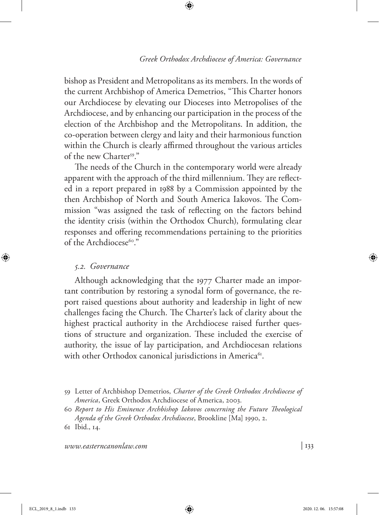bishop as President and Metropolitans as its members. In the words of the current Archbishop of America Demetrios, "This Charter honors our Archdiocese by elevating our Dioceses into Metropolises of the Archdiocese, and by enhancing our participation in the process of the election of the Archbishop and the Metropolitans. In addition, the co-operation between clergy and laity and their harmonious function within the Church is clearly affirmed throughout the various articles of the new Charter<sup>59</sup>."

The needs of the Church in the contemporary world were already apparent with the approach of the third millennium. They are reflected in a report prepared in 1988 by a Commission appointed by the then Archbishop of North and South America Iakovos. The Commission "was assigned the task of reflecting on the factors behind the identity crisis (within the Orthodox Church), formulating clear responses and offering recommendations pertaining to the priorities of the Archdiocese<sup>60</sup>."

#### *5.2. Governance*

Although acknowledging that the 1977 Charter made an important contribution by restoring a synodal form of governance, the report raised questions about authority and leadership in light of new challenges facing the Church. The Charter's lack of clarity about the highest practical authority in the Archdiocese raised further questions of structure and organization. These included the exercise of authority, the issue of lay participation, and Archdiocesan relations with other Orthodox canonical jurisdictions in America<sup>61</sup>.

<sup>59</sup> Letter of Archbishop Demetrios, *Charter of the Greek Orthodox Archdiocese of America*, Greek Orthodox Archdiocese of America, 2003.

<sup>60</sup> *Report to His Eminence Archbishop Iakovos concerning the Future Theological Agenda of the Greek Orthodox Archdiocese*, Brookline [Ma] 1990, 2.

<sup>61</sup> Ibid., 14.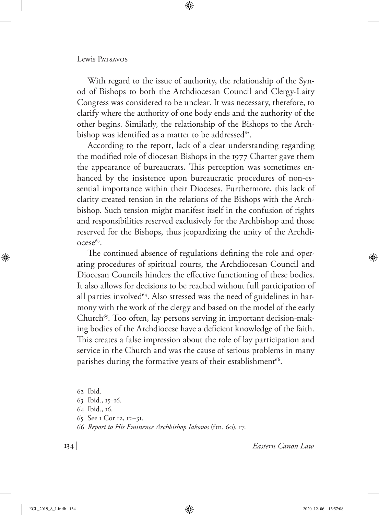With regard to the issue of authority, the relationship of the Synod of Bishops to both the Archdiocesan Council and Clergy-Laity Congress was considered to be unclear. It was necessary, therefore, to clarify where the authority of one body ends and the authority of the other begins. Similarly, the relationship of the Bishops to the Archbishop was identified as a matter to be addressed<sup>62</sup>.

According to the report, lack of a clear understanding regarding the modified role of diocesan Bishops in the 1977 Charter gave them the appearance of bureaucrats. This perception was sometimes enhanced by the insistence upon bureaucratic procedures of non-essential importance within their Dioceses. Furthermore, this lack of clarity created tension in the relations of the Bishops with the Archbishop. Such tension might manifest itself in the confusion of rights and responsibilities reserved exclusively for the Archbishop and those reserved for the Bishops, thus jeopardizing the unity of the Archdi $ocese<sup>63</sup>$ .

The continued absence of regulations defining the role and operating procedures of spiritual courts, the Archdiocesan Council and Diocesan Councils hinders the effective functioning of these bodies. It also allows for decisions to be reached without full participation of all parties involved<sup>64</sup>. Also stressed was the need of guidelines in harmony with the work of the clergy and based on the model of the early Church<sup>65</sup>. Too often, lay persons serving in important decision-making bodies of the Archdiocese have a deficient knowledge of the faith. This creates a false impression about the role of lay participation and service in the Church and was the cause of serious problems in many parishes during the formative years of their establishment<sup>66</sup>.

62 Ibid. Ibid., 15–16. Ibid., 16. See 1 Cor 12, 12–31. *Report to His Eminence Archbishop Iakovos* (ftn. 60), 17.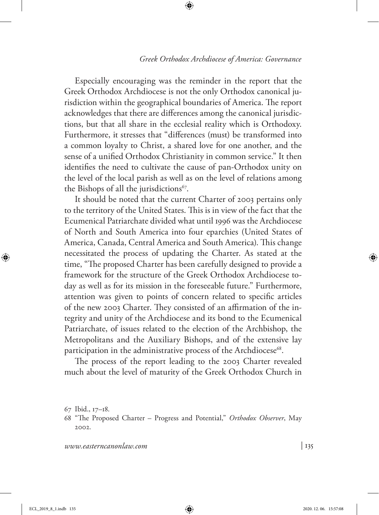Especially encouraging was the reminder in the report that the Greek Orthodox Archdiocese is not the only Orthodox canonical jurisdiction within the geographical boundaries of America. The report acknowledges that there are differences among the canonical jurisdictions, but that all share in the ecclesial reality which is Orthodoxy. Furthermore, it stresses that "differences (must) be transformed into a common loyalty to Christ, a shared love for one another, and the sense of a unified Orthodox Christianity in common service." It then identifies the need to cultivate the cause of pan-Orthodox unity on the level of the local parish as well as on the level of relations among the Bishops of all the jurisdictions<sup>67</sup>.

It should be noted that the current Charter of 2003 pertains only to the territory of the United States. This is in view of the fact that the Ecumenical Patriarchate divided what until 1996 was the Archdiocese of North and South America into four eparchies (United States of America, Canada, Central America and South America). This change necessitated the process of updating the Charter. As stated at the time, "The proposed Charter has been carefully designed to provide a framework for the structure of the Greek Orthodox Archdiocese today as well as for its mission in the foreseeable future." Furthermore, attention was given to points of concern related to specific articles of the new 2003 Charter. They consisted of an affirmation of the integrity and unity of the Archdiocese and its bond to the Ecumenical Patriarchate, of issues related to the election of the Archbishop, the Metropolitans and the Auxiliary Bishops, and of the extensive lay participation in the administrative process of the Archdiocese<sup>68</sup>.

The process of the report leading to the 2003 Charter revealed much about the level of maturity of the Greek Orthodox Church in

<sup>67</sup> Ibid., 17–18.

<sup>68</sup> "The Proposed Charter – Progress and Potential," *Orthodox Observer*, May 2002*.*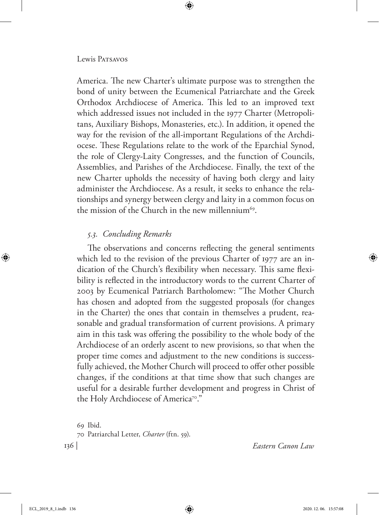America. The new Charter's ultimate purpose was to strengthen the bond of unity between the Ecumenical Patriarchate and the Greek Orthodox Archdiocese of America. This led to an improved text which addressed issues not included in the 1977 Charter (Metropolitans, Auxiliary Bishops, Monasteries, etc.). In addition, it opened the way for the revision of the all-important Regulations of the Archdiocese. These Regulations relate to the work of the Eparchial Synod, the role of Clergy-Laity Congresses, and the function of Councils, Assemblies, and Parishes of the Archdiocese. Finally, the text of the new Charter upholds the necessity of having both clergy and laity administer the Archdiocese. As a result, it seeks to enhance the relationships and synergy between clergy and laity in a common focus on the mission of the Church in the new millennium<sup>69</sup>.

## *5.3. Concluding Remarks*

The observations and concerns reflecting the general sentiments which led to the revision of the previous Charter of 1977 are an indication of the Church's flexibility when necessary. This same flexibility is reflected in the introductory words to the current Charter of 2003 by Ecumenical Patriarch Bartholomew: "The Mother Church has chosen and adopted from the suggested proposals (for changes in the Charter) the ones that contain in themselves a prudent, reasonable and gradual transformation of current provisions. A primary aim in this task was offering the possibility to the whole body of the Archdiocese of an orderly ascent to new provisions, so that when the proper time comes and adjustment to the new conditions is successfully achieved, the Mother Church will proceed to offer other possible changes, if the conditions at that time show that such changes are useful for a desirable further development and progress in Christ of the Holy Archdiocese of America<sup>70</sup>."

69 Ibid. 70 Patriarchal Letter, *Charter* (ftn. 59).